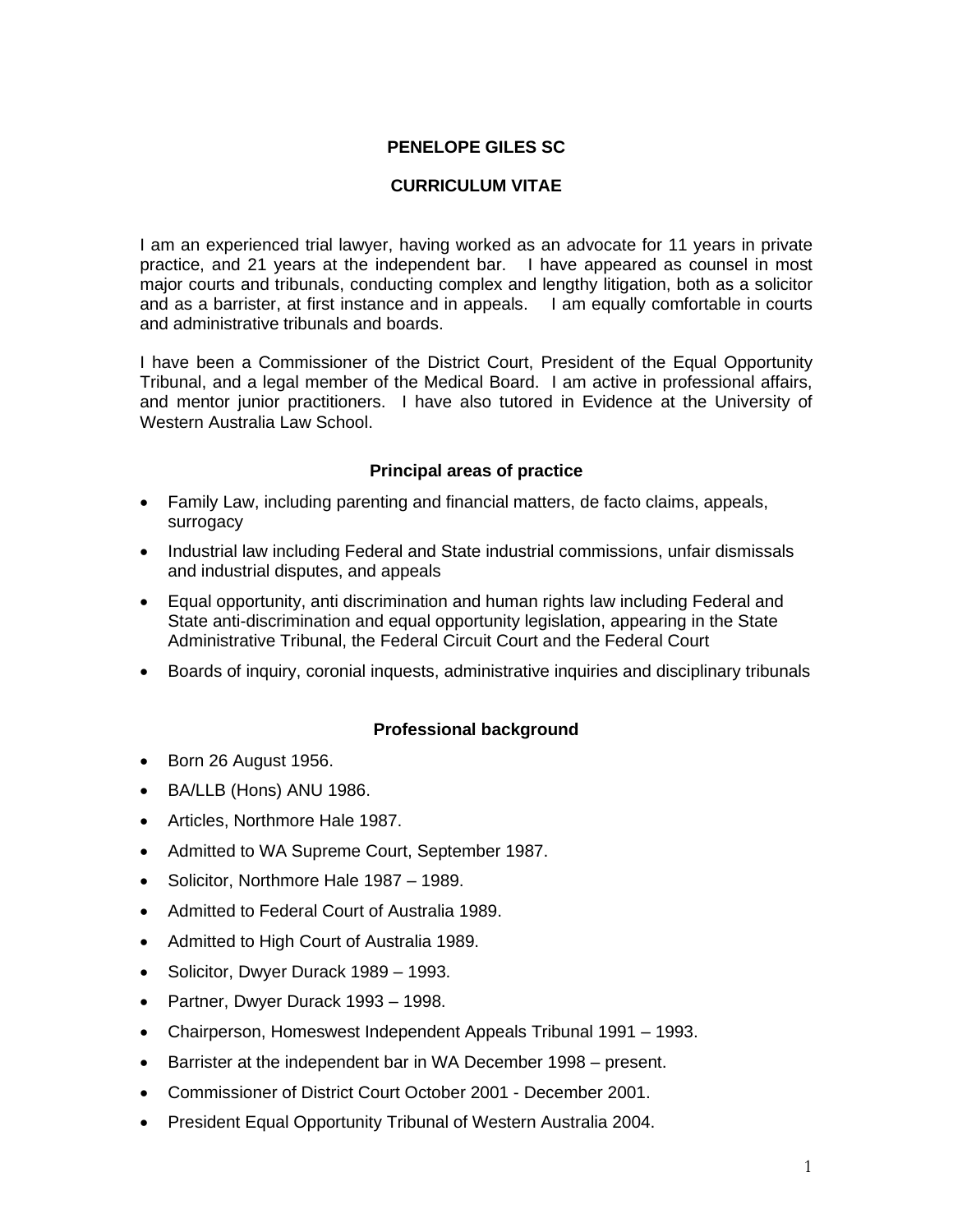# **PENELOPE GILES SC**

# **CURRICULUM VITAE**

I am an experienced trial lawyer, having worked as an advocate for 11 years in private practice, and 21 years at the independent bar. I have appeared as counsel in most major courts and tribunals, conducting complex and lengthy litigation, both as a solicitor and as a barrister, at first instance and in appeals. I am equally comfortable in courts and administrative tribunals and boards.

I have been a Commissioner of the District Court, President of the Equal Opportunity Tribunal, and a legal member of the Medical Board. I am active in professional affairs, and mentor junior practitioners. I have also tutored in Evidence at the University of Western Australia Law School.

### **Principal areas of practice**

- Family Law, including parenting and financial matters, de facto claims, appeals, surrogacy
- Industrial law including Federal and State industrial commissions, unfair dismissals and industrial disputes, and appeals
- Equal opportunity, anti discrimination and human rights law including Federal and State anti-discrimination and equal opportunity legislation, appearing in the State Administrative Tribunal, the Federal Circuit Court and the Federal Court
- Boards of inquiry, coronial inquests, administrative inquiries and disciplinary tribunals

### **Professional background**

- Born 26 August 1956.
- BA/LLB (Hons) ANU 1986.
- Articles, Northmore Hale 1987.
- Admitted to WA Supreme Court, September 1987.
- Solicitor, Northmore Hale 1987 1989.
- Admitted to Federal Court of Australia 1989.
- Admitted to High Court of Australia 1989.
- Solicitor, Dwyer Durack 1989 1993.
- Partner, Dwyer Durack 1993 1998.
- Chairperson, Homeswest Independent Appeals Tribunal 1991 1993.
- Barrister at the independent bar in WA December 1998 present.
- Commissioner of District Court October 2001 December 2001.
- President Equal Opportunity Tribunal of Western Australia 2004.